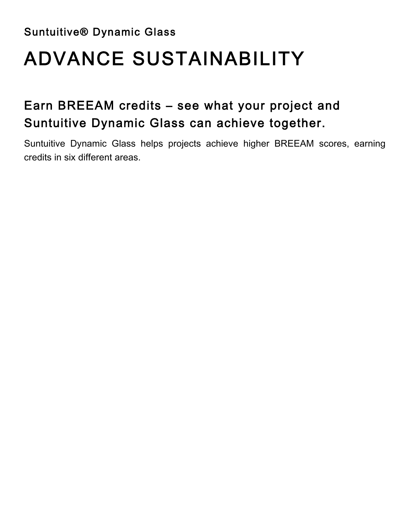Suntuitive® Dynamic Glass

# ADVANCE SUSTAINABILITY

### Earn BREEAM credits – see what your project and Suntuitive Dynamic Glass can achieve together.

Suntuitive Dynamic Glass helps projects achieve higher BREEAM scores, earning credits in six different areas.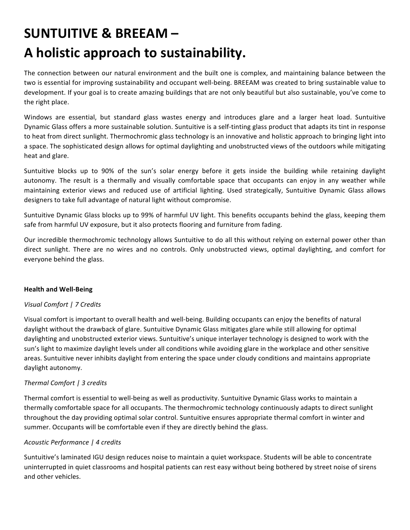### **SUNTUITIVE & BREEAM –** A holistic approach to sustainability.

The connection between our natural environment and the built one is complex, and maintaining balance between the two is essential for improving sustainability and occupant well-being. BREEAM was created to bring sustainable value to development. If your goal is to create amazing buildings that are not only beautiful but also sustainable, you've come to the right place.

Windows are essential, but standard glass wastes energy and introduces glare and a larger heat load. Suntuitive Dynamic Glass offers a more sustainable solution. Suntuitive is a self-tinting glass product that adapts its tint in response to heat from direct sunlight. Thermochromic glass technology is an innovative and holistic approach to bringing light into a space. The sophisticated design allows for optimal daylighting and unobstructed views of the outdoors while mitigating heat and glare.

Suntuitive blocks up to 90% of the sun's solar energy before it gets inside the building while retaining daylight autonomy. The result is a thermally and visually comfortable space that occupants can enjoy in any weather while maintaining exterior views and reduced use of artificial lighting. Used strategically, Suntuitive Dynamic Glass allows designers to take full advantage of natural light without compromise.

Suntuitive Dynamic Glass blocks up to 99% of harmful UV light. This benefits occupants behind the glass, keeping them safe from harmful UV exposure, but it also protects flooring and furniture from fading.

Our incredible thermochromic technology allows Suntuitive to do all this without relying on external power other than direct sunlight. There are no wires and no controls. Only unobstructed views, optimal daylighting, and comfort for everyone behind the glass.

#### **Health and Well-Being**

#### *Visual Comfort | 7 Credits*

Visual comfort is important to overall health and well-being. Building occupants can enjoy the benefits of natural daylight without the drawback of glare. Suntuitive Dynamic Glass mitigates glare while still allowing for optimal daylighting and unobstructed exterior views. Suntuitive's unique interlayer technology is designed to work with the sun's light to maximize daylight levels under all conditions while avoiding glare in the workplace and other sensitive areas. Suntuitive never inhibits daylight from entering the space under cloudy conditions and maintains appropriate daylight autonomy.

#### *Thermal Comfort | 3 credits*

Thermal comfort is essential to well-being as well as productivity. Suntuitive Dynamic Glass works to maintain a thermally comfortable space for all occupants. The thermochromic technology continuously adapts to direct sunlight throughout the day providing optimal solar control. Suntuitive ensures appropriate thermal comfort in winter and summer. Occupants will be comfortable even if they are directly behind the glass.

#### *Acoustic Performance | 4 credits*

Suntuitive's laminated IGU design reduces noise to maintain a quiet workspace. Students will be able to concentrate uninterrupted in quiet classrooms and hospital patients can rest easy without being bothered by street noise of sirens and other vehicles.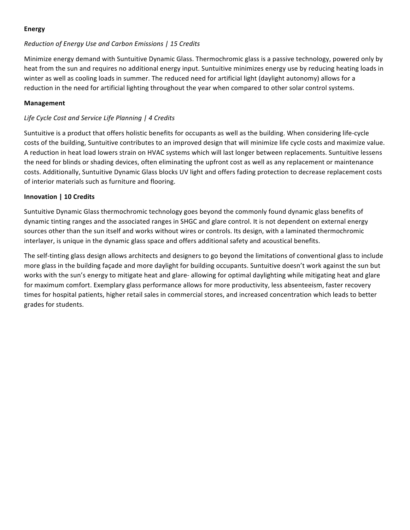#### **Energy**

#### *Reduction of Energy Use and Carbon Emissions | 15 Credits*

Minimize energy demand with Suntuitive Dynamic Glass. Thermochromic glass is a passive technology, powered only by heat from the sun and requires no additional energy input. Suntuitive minimizes energy use by reducing heating loads in winter as well as cooling loads in summer. The reduced need for artificial light (daylight autonomy) allows for a reduction in the need for artificial lighting throughout the year when compared to other solar control systems.

#### **Management**

#### *Life Cycle Cost and Service Life Planning | 4 Credits*

Suntuitive is a product that offers holistic benefits for occupants as well as the building. When considering life-cycle costs of the building, Suntuitive contributes to an improved design that will minimize life cycle costs and maximize value. A reduction in heat load lowers strain on HVAC systems which will last longer between replacements. Suntuitive lessens the need for blinds or shading devices, often eliminating the upfront cost as well as any replacement or maintenance costs. Additionally, Suntuitive Dynamic Glass blocks UV light and offers fading protection to decrease replacement costs of interior materials such as furniture and flooring.

#### **Innovation** | 10 Credits

Suntuitive Dynamic Glass thermochromic technology goes beyond the commonly found dynamic glass benefits of dynamic tinting ranges and the associated ranges in SHGC and glare control. It is not dependent on external energy sources other than the sun itself and works without wires or controls. Its design, with a laminated thermochromic interlayer, is unique in the dynamic glass space and offers additional safety and acoustical benefits.

The self-tinting glass design allows architects and designers to go beyond the limitations of conventional glass to include more glass in the building façade and more daylight for building occupants. Suntuitive doesn't work against the sun but works with the sun's energy to mitigate heat and glare- allowing for optimal daylighting while mitigating heat and glare for maximum comfort. Exemplary glass performance allows for more productivity, less absenteeism, faster recovery times for hospital patients, higher retail sales in commercial stores, and increased concentration which leads to better grades for students.